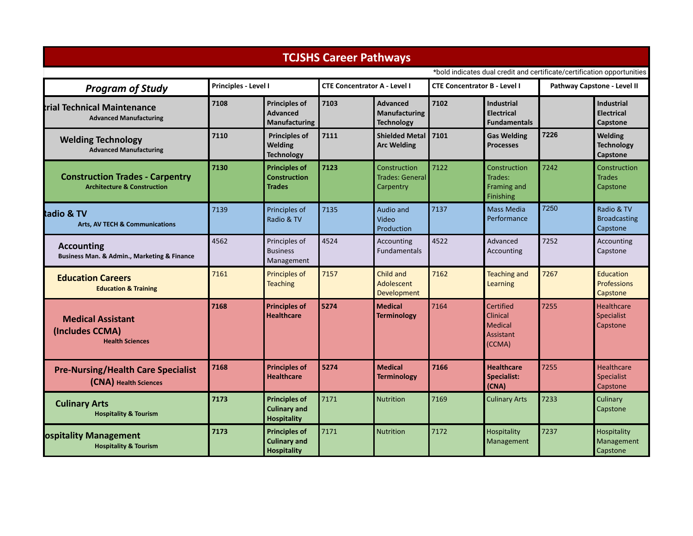|                                                                                  |                      |                                                                   | <b>TCJSHS Career Pathways</b>       |                                                       |                                     |                                                                              |                                                                         |                                                    |
|----------------------------------------------------------------------------------|----------------------|-------------------------------------------------------------------|-------------------------------------|-------------------------------------------------------|-------------------------------------|------------------------------------------------------------------------------|-------------------------------------------------------------------------|----------------------------------------------------|
|                                                                                  |                      |                                                                   |                                     |                                                       |                                     |                                                                              | *bold indicates dual credit and certificate/certification opportunities |                                                    |
| <b>Program of Study</b>                                                          | Principles - Level I |                                                                   | <b>CTE Concentrator A - Level I</b> |                                                       | <b>CTE Concentrator B - Level I</b> |                                                                              | Pathway Capstone - Level II                                             |                                                    |
| trial Technical Maintenance<br><b>Advanced Manufacturing</b>                     | 7108                 | <b>Principles of</b><br><b>Advanced</b><br><b>Manufacturing</b>   | 7103                                | <b>Advanced</b><br>Manufacturing<br><b>Technology</b> | 7102                                | <b>Industrial</b><br><b>Electrical</b><br><b>Fundamentals</b>                |                                                                         | <b>Industrial</b><br><b>Electrical</b><br>Capstone |
| <b>Welding Technology</b><br><b>Advanced Manufacturing</b>                       | 7110                 | <b>Principles of</b><br><b>Welding</b><br><b>Technology</b>       | 7111                                | <b>Shielded Metal</b><br><b>Arc Welding</b>           | 7101                                | <b>Gas Welding</b><br><b>Processes</b>                                       | 7226                                                                    | Welding<br><b>Technology</b><br>Capstone           |
| <b>Construction Trades - Carpentry</b><br><b>Architecture &amp; Construction</b> | 7130                 | <b>Principles of</b><br><b>Construction</b><br><b>Trades</b>      | 7123                                | Construction<br><b>Trades: General</b><br>Carpentry   | 7122                                | Construction<br>Trades:<br>Framing and<br>Finishing                          | 7242                                                                    | Construction<br><b>Trades</b><br>Capstone          |
| adio & TV<br><b>Arts, AV TECH &amp; Communications</b>                           | 7139                 | Principles of<br>Radio & TV                                       | 7135                                | Audio and<br>Video<br>Production                      | 7137                                | <b>Mass Media</b><br>Performance                                             | 7250                                                                    | Radio & TV<br><b>Broadcasting</b><br>Capstone      |
| <b>Accounting</b><br>Business Man. & Admin., Marketing & Finance                 | 4562                 | Principles of<br><b>Business</b><br>Management                    | 4524                                | Accounting<br><b>Fundamentals</b>                     | 4522                                | Advanced<br>Accounting                                                       | 7252                                                                    | Accounting<br>Capstone                             |
| <b>Education Careers</b><br><b>Education &amp; Training</b>                      | 7161                 | Principles of<br><b>Teaching</b>                                  | 7157                                | Child and<br>Adolescent<br><b>Development</b>         | 7162                                | <b>Teaching and</b><br><b>Learning</b>                                       | 7267                                                                    | <b>Education</b><br>Professions<br>Capstone        |
| <b>Medical Assistant</b><br>(Includes CCMA)<br><b>Health Sciences</b>            | 7168                 | <b>Principles of</b><br><b>Healthcare</b>                         | 5274                                | <b>Medical</b><br><b>Terminology</b>                  | 7164                                | Certified<br><b>Clinical</b><br><b>Medical</b><br><b>Assistant</b><br>(CCMA) | 7255                                                                    | <b>Healthcare</b><br><b>Specialist</b><br>Capstone |
| <b>Pre-Nursing/Health Care Specialist</b><br>(CNA) Health Sciences               | 7168                 | <b>Principles of</b><br><b>Healthcare</b>                         | 5274                                | <b>Medical</b><br><b>Terminology</b>                  | 7166                                | <b>Healthcare</b><br><b>Specialist:</b><br>(CNA)                             | 7255                                                                    | <b>Healthcare</b><br><b>Specialist</b><br>Capstone |
| <b>Culinary Arts</b><br><b>Hospitality &amp; Tourism</b>                         | 7173                 | <b>Principles of</b><br><b>Culinary and</b><br><b>Hospitality</b> | 7171                                | <b>Nutrition</b>                                      | 7169                                | <b>Culinary Arts</b>                                                         | 7233                                                                    | Culinary<br>Capstone                               |
| <b>ospitality Management</b><br><b>Hospitality &amp; Tourism</b>                 | 7173                 | <b>Principles of</b><br><b>Culinary and</b><br><b>Hospitality</b> | 7171                                | <b>Nutrition</b>                                      | 7172                                | Hospitality<br>Management                                                    | 7237                                                                    | Hospitality<br>Management<br>Capstone              |